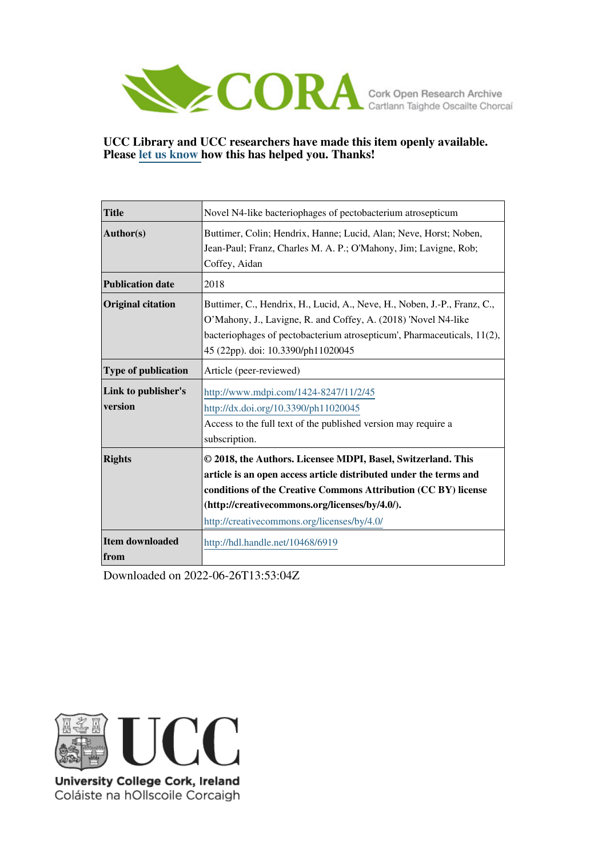

## **UCC Library and UCC researchers have made this item openly available. Please [let us know h](https://libguides.ucc.ie/openaccess/impact?suffix=6919&title=Novel N4-like bacteriophages of pectobacterium atrosepticum)ow this has helped you. Thanks!**

| <b>Title</b>                   | Novel N4-like bacteriophages of pectobacterium atrosepticum                                                                                                                                                                                                                                          |  |  |  |  |
|--------------------------------|------------------------------------------------------------------------------------------------------------------------------------------------------------------------------------------------------------------------------------------------------------------------------------------------------|--|--|--|--|
| $\vert$ Author(s)              | Buttimer, Colin; Hendrix, Hanne; Lucid, Alan; Neve, Horst; Noben,<br>Jean-Paul; Franz, Charles M. A. P.; O'Mahony, Jim; Lavigne, Rob;<br>Coffey, Aidan                                                                                                                                               |  |  |  |  |
| <b>Publication date</b>        | 2018                                                                                                                                                                                                                                                                                                 |  |  |  |  |
| <b>Original citation</b>       | Buttimer, C., Hendrix, H., Lucid, A., Neve, H., Noben, J.-P., Franz, C.,<br>O'Mahony, J., Lavigne, R. and Coffey, A. (2018) 'Novel N4-like<br>bacteriophages of pectobacterium atrosepticum', Pharmaceuticals, 11(2),<br>45 (22pp). doi: 10.3390/ph11020045                                          |  |  |  |  |
| Type of publication            | Article (peer-reviewed)                                                                                                                                                                                                                                                                              |  |  |  |  |
| Link to publisher's<br>version | http://www.mdpi.com/1424-8247/11/2/45<br>http://dx.doi.org/10.3390/ph11020045<br>Access to the full text of the published version may require a<br>subscription.                                                                                                                                     |  |  |  |  |
| <b>Rights</b>                  | © 2018, the Authors. Licensee MDPI, Basel, Switzerland. This<br>article is an open access article distributed under the terms and<br>conditions of the Creative Commons Attribution (CC BY) license<br>(http://creativecommons.org/licenses/by/4.0/).<br>http://creativecommons.org/licenses/by/4.0/ |  |  |  |  |
| Item downloaded<br>from        | http://hdl.handle.net/10468/6919                                                                                                                                                                                                                                                                     |  |  |  |  |

Downloaded on 2022-06-26T13:53:04Z



University College Cork, Ireland Coláiste na hOllscoile Corcaigh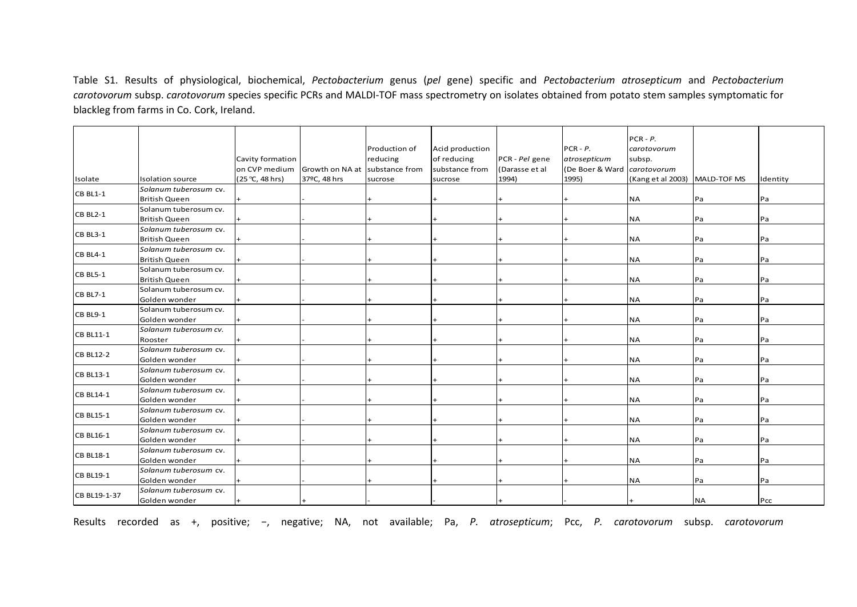Table S1. Results of physiological, biochemical, *Pectobacterium* genus (*pel* gene) specific and *Pectobacterium atrosepticum* and *Pectobacterium carotovorum* subsp. *carotovorum* species specific PCRs and MALDI‐TOF mass spectrometry on isolates obtained from potato stem samples symptomatic for blackleg from farms in Co. Cork, Ireland.

|                  |                                               |                  |                 |                |                 |                |                 | $PCR - P$ .       |             |          |
|------------------|-----------------------------------------------|------------------|-----------------|----------------|-----------------|----------------|-----------------|-------------------|-------------|----------|
|                  |                                               |                  |                 | Production of  | Acid production |                | $PCR - P.$      | carotovorum       |             |          |
|                  |                                               | Cavity formation |                 | reducing       | of reducing     | PCR - Pel gene | atrosepticum    | subsp.            |             |          |
|                  |                                               | on CVP medium    | Growth on NA at | substance from | substance from  | (Darasse et al | (De Boer & Ward | carotovorum       |             |          |
| Isolate          | Isolation source                              | (25 °C, 48 hrs)  | 37ºC, 48 hrs    | sucrose        | sucrose         | 1994)          | 1995)           | (Kang et al 2003) | MALD-TOF MS | Identity |
| <b>CB BL1-1</b>  | Solanum tuberosum cv.                         |                  |                 |                |                 |                |                 |                   |             |          |
|                  | <b>British Queen</b>                          |                  |                 |                |                 |                |                 | <b>NA</b>         | Pa          | Pa       |
| <b>CB BL2-1</b>  | Solanum tuberosum cv.                         |                  |                 |                |                 |                |                 |                   |             |          |
|                  | <b>British Queen</b>                          |                  |                 |                |                 |                |                 | <b>NA</b>         | Pa          | Pa       |
| CB BL3-1         | Solanum tuberosum cv.                         |                  |                 |                |                 |                |                 |                   |             |          |
|                  | <b>British Queen</b>                          |                  |                 |                |                 |                |                 | <b>NA</b>         | Pa          | Pa       |
| CB BL4-1         | Solanum tuberosum cv.                         |                  |                 |                |                 |                |                 |                   |             |          |
|                  | <b>British Queen</b>                          |                  |                 |                |                 |                |                 | <b>NA</b>         | Pa          | Pa       |
| <b>CB BL5-1</b>  | Solanum tuberosum cv.<br><b>British Queen</b> |                  |                 |                |                 |                |                 | <b>NA</b>         |             |          |
|                  | Solanum tuberosum cv.                         |                  |                 |                |                 |                |                 |                   | Pa          | Pa       |
| <b>CB BL7-1</b>  | Golden wonder                                 |                  |                 |                |                 |                |                 | <b>NA</b>         | Pa          | Pa       |
|                  | Solanum tuberosum cv.                         |                  |                 |                |                 |                |                 |                   |             |          |
| CB BL9-1         | Golden wonder                                 |                  |                 |                |                 |                |                 | <b>NA</b>         | Pa          | Pa       |
|                  | Solanum tuberosum cv.                         |                  |                 |                |                 |                |                 |                   |             |          |
| CB BL11-1        | Rooster                                       |                  |                 |                |                 |                |                 | <b>NA</b>         | Pa          | Pa       |
|                  | Solanum tuberosum cv.                         |                  |                 |                |                 |                |                 |                   |             |          |
| <b>CB BL12-2</b> | Golden wonder                                 |                  |                 |                |                 |                |                 | <b>NA</b>         | Pa          | Pa       |
| <b>CB BL13-1</b> | Solanum tuberosum cv.                         |                  |                 |                |                 |                |                 |                   |             |          |
|                  | Golden wonder                                 |                  |                 |                |                 |                |                 | <b>NA</b>         | Pa          | Pa       |
| <b>CB BL14-1</b> | Solanum tuberosum cv.                         |                  |                 |                |                 |                |                 |                   |             |          |
|                  | Golden wonder                                 |                  |                 |                |                 |                |                 | <b>NA</b>         | Pa          | Pa       |
| <b>CB BL15-1</b> | Solanum tuberosum cv.                         |                  |                 |                |                 |                |                 |                   |             |          |
|                  | Golden wonder                                 |                  |                 |                |                 |                |                 | <b>NA</b>         | Pa          | Pa       |
| <b>CB BL16-1</b> | Solanum tuberosum cv.                         |                  |                 |                |                 |                |                 |                   |             |          |
|                  | Golden wonder                                 |                  |                 |                |                 |                |                 | <b>NA</b>         | Pa          | Pa       |
| <b>CB BL18-1</b> | Solanum tuberosum cv.                         |                  |                 |                |                 |                |                 |                   |             |          |
|                  | Golden wonder                                 |                  |                 |                |                 |                |                 | <b>NA</b>         | Pa          | Pa       |
| <b>CB BL19-1</b> | Solanum tuberosum cv.                         |                  |                 |                |                 |                |                 | <b>NA</b>         | Pa          |          |
|                  | Golden wonder<br>Solanum tuberosum cv.        |                  |                 |                |                 |                |                 |                   |             | Pa       |
| CB BL19-1-37     | Golden wonder                                 |                  |                 |                |                 |                |                 |                   | <b>NA</b>   | Pcc      |
|                  |                                               |                  |                 |                |                 |                |                 |                   |             |          |

Results recorded as +, positive; <sup>−</sup>, negative; NA, not available; Pa, *P. atrosepticum*; Pcc, *P. carotovorum* subsp. *carotovorum*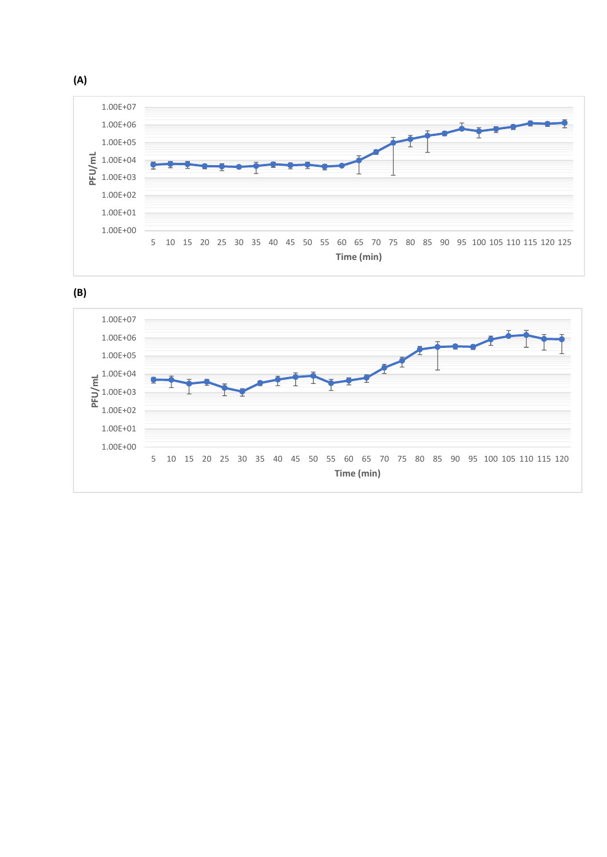



**(A)**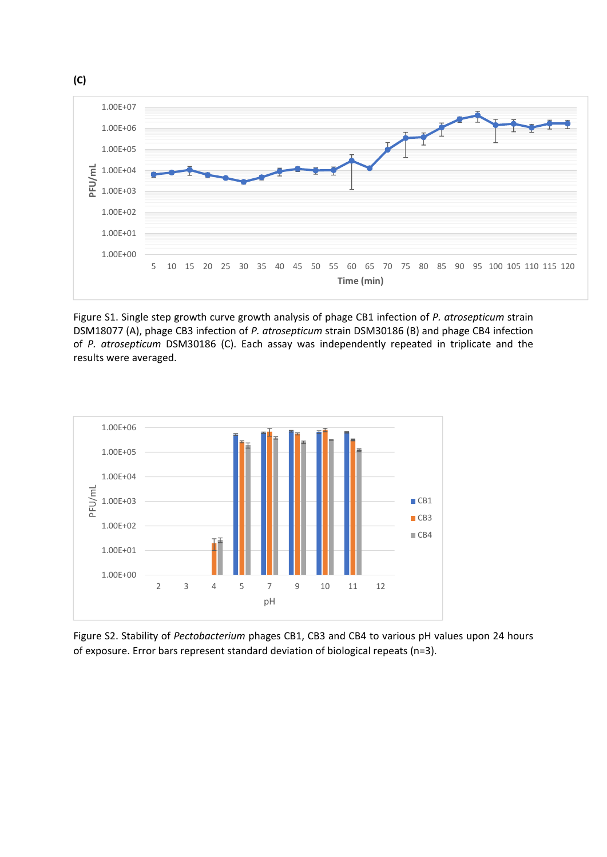

Figure S1. Single step growth curve growth analysis of phage CB1 infection of *P. atrosepticum* strain DSM18077 (A), phage CB3 infection of *P. atrosepticum* strain DSM30186 (B) and phage CB4 infection of *P. atrosepticum* DSM30186 (C). Each assay was independently repeated in triplicate and the results were averaged.



Figure S2. Stability of *Pectobacterium* phages CB1, CB3 and CB4 to various pH values upon 24 hours of exposure. Error bars represent standard deviation of biological repeats (n=3).

**(C)**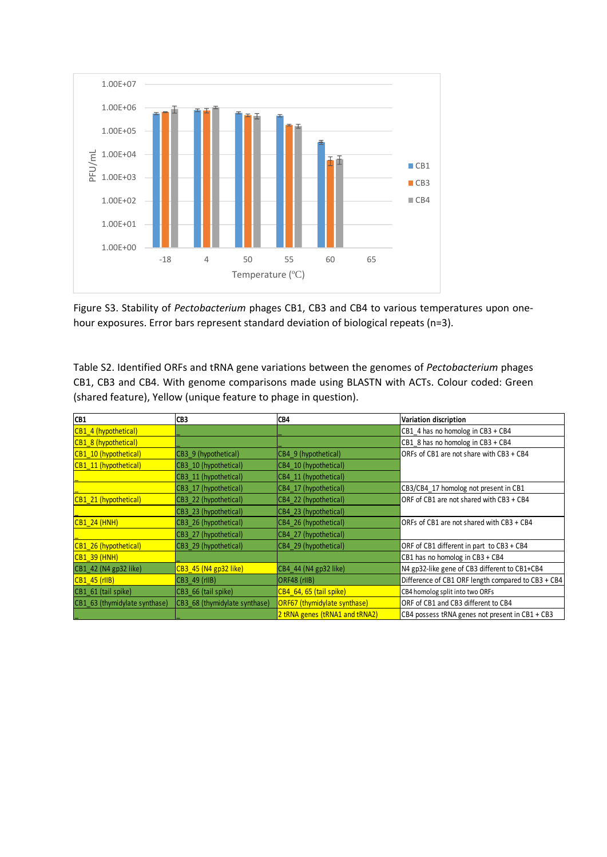

Figure S3. Stability of *Pectobacterium* phages CB1, CB3 and CB4 to various temperatures upon one‐ hour exposures. Error bars represent standard deviation of biological repeats (n=3).

Table S2. Identified ORFs and tRNA gene variations between the genomes of *Pectobacterium* phages CB1, CB3 and CB4. With genome comparisons made using BLASTN with ACTs. Colour coded: Green (shared feature), Yellow (unique feature to phage in question).

| ICB1                          | CB <sub>3</sub>               | CB4                            | Variation discription                              |
|-------------------------------|-------------------------------|--------------------------------|----------------------------------------------------|
| CB1 4 (hypothetical)          |                               |                                | CB1 4 has no homolog in CB3 + CB4                  |
| CB1 8 (hypothetical)          |                               |                                | CB1 8 has no homolog in CB3 + CB4                  |
| CB1_10 (hypothetical)         | CB3 9 (hypothetical)          | CB4 9 (hypothetical)           | ORFs of CB1 are not share with CB3 + CB4           |
| CB1 11 (hypothetical)         | CB3 10 (hypothetical)         | CB4 10 (hypothetical)          |                                                    |
|                               | CB3 11 (hypothetical)         | CB4 11 (hypothetical)          |                                                    |
|                               | CB3 17 (hypothetical)         | CB4 17 (hypothetical)          | CB3/CB4 17 homolog not present in CB1              |
| CB1 21 (hypothetical)         | CB3 22 (hypothetical)         | CB4 22 (hypothetical)          | ORF of CB1 are not shared with CB3 + CB4           |
|                               | CB3 23 (hypothetical)         | CB4 23 (hypothetical)          |                                                    |
| CB1 24 (HNH)                  | CB3 26 (hypothetical)         | CB4 26 (hypothetical)          | ORFs of CB1 are not shared with CB3 + CB4          |
|                               | CB3 27 (hypothetical)         | CB4 27 (hypothetical)          |                                                    |
| CB1 26 (hypothetical)         | CB3 29 (hypothetical)         | CB4 29 (hypothetical)          | ORF of CB1 different in part to CB3 + CB4          |
| $\overline{CB1}$ 39 (HNH)     |                               |                                | CB1 has no homolog in CB3 + CB4                    |
| CB1 42 (N4 gp32 like)         | CB3 45 (N4 gp32 like)         | CB4_44 (N4 gp32 like)          | N4 gp32-like gene of CB3 different to CB1+CB4      |
| $CB1$ 45 (rIIB)               | CB3 49 (rIIB)                 | ORF48 (rIIB)                   | Difference of CB1 ORF length compared to CB3 + CB4 |
| CB1 61 (tail spike)           | CB3 66 (tail spike)           | CB4 64, 65 (tail spike)        | CB4 homolog split into two ORFs                    |
| CB1_63 (thymidylate synthase) | CB3 68 (thymidylate synthase) | ORF67 (thymidylate synthase)   | ORF of CB1 and CB3 different to CB4                |
|                               |                               | 2 tRNA genes (tRNA1 and tRNA2) | CB4 possess tRNA genes not present in CB1 + CB3    |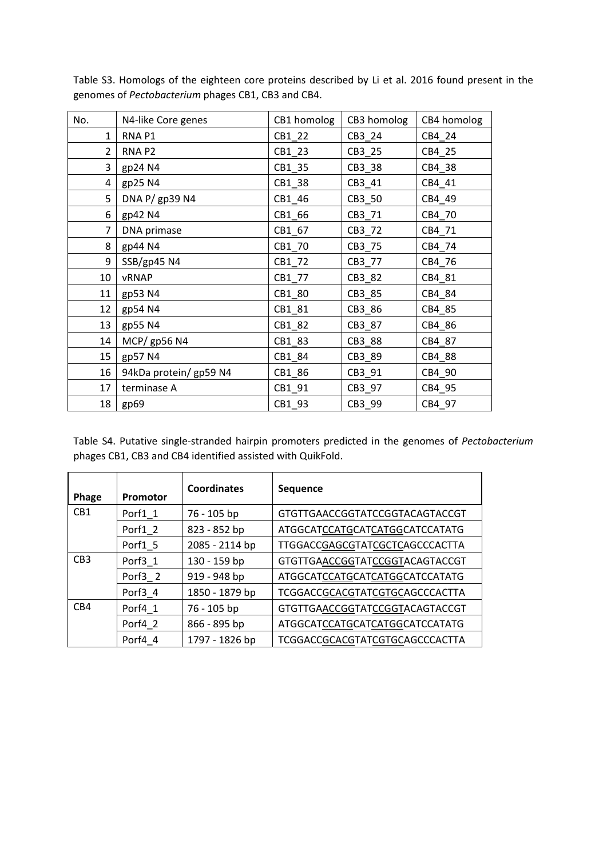| No.            | N4-like Core genes     | CB1 homolog | CB3 homolog | CB4 homolog |
|----------------|------------------------|-------------|-------------|-------------|
| 1              | RNA <sub>P1</sub>      | CB1_22      | CB3_24      | CB4_24      |
| 2              | RNA <sub>P2</sub>      | CB1_23      | CB3_25      | CB4_25      |
| 3              | gp24 N4                | CB1_35      | CB3_38      | CB4_38      |
| 4              | gp25 N4                | CB1_38      | CB3_41      | CB4_41      |
| 5              | DNA P/ gp39 N4         | CB1_46      | CB3_50      | CB4_49      |
| 6              | gp42 N4                | CB1_66      | CB3_71      | CB4_70      |
| $\overline{7}$ | DNA primase            | CB1_67      | CB3_72      | CB4_71      |
| 8              | gp44 N4                | CB1_70      | CB3_75      | CB4 74      |
| 9              | SSB/gp45 N4            | $CB1_72$    | CB3_77      | CB4_76      |
| 10             | <b>vRNAP</b>           | CB1_77      | CB3_82      | CB4_81      |
| 11             | gp53 N4                | CB1_80      | CB3_85      | CB4_84      |
| 12             | gp54 N4                | CB1_81      | CB3_86      | CB4_85      |
| 13             | gp55 N4                | CB1_82      | CB3_87      | CB4_86      |
| 14             | MCP/ gp56 N4           | CB1_83      | CB3_88      | CB4_87      |
| 15             | gp57 N4                | CB1_84      | CB3_89      | CB4_88      |
| 16             | 94kDa protein/ gp59 N4 | CB1_86      | CB3_91      | CB4_90      |
| 17             | terminase A            | CB1_91      | CB3_97      | CB4_95      |
| 18             | gp69                   | CB1_93      | CB3_99      | CB4_97      |

Table S3. Homologs of the eighteen core proteins described by Li et al. 2016 found present in the genomes of *Pectobacterium* phages CB1, CB3 and CB4.

Table S4. Putative single‐stranded hairpin promoters predicted in the genomes of *Pectobacterium* phages CB1, CB3 and CB4 identified assisted with QuikFold.

| Phage            | Promotor           | <b>Coordinates</b> | Sequence                       |
|------------------|--------------------|--------------------|--------------------------------|
| CB <sub>1</sub>  | Porf1 1            | 76 - 105 bp        | GTGTTGAACCGGTATCCGGTACAGTACCGT |
|                  | Porf1 2            | 823 - 852 bp       | ATGGCATCCATGCATCATGGCATCCATATG |
|                  | Porf1 5            | 2085 - 2114 bp     | TTGGACCGAGCGTATCGCTCAGCCCACTTA |
| CB <sub>3</sub>  | Porf3 1            | 130 - 159 bp       | GTGTTGAACCGGTATCCGGTACAGTACCGT |
|                  | Porf3 <sub>2</sub> | 919 - 948 bp       | ATGGCATCCATGCATCATGGCATCCATATG |
|                  | Porf3 4            | 1850 - 1879 bp     | TCGGACCGCACGTATCGTGCAGCCCACTTA |
| C <sub>B</sub> 4 | Porf4 1            | 76 - 105 bp        | GTGTTGAACCGGTATCCGGTACAGTACCGT |
|                  | Porf4 2            | 866 - 895 bp       | ATGGCATCCATGCATCATGGCATCCATATG |
|                  | Porf4 4            | 1797 - 1826 bp     | TCGGACCGCACGTATCGTGCAGCCCACTTA |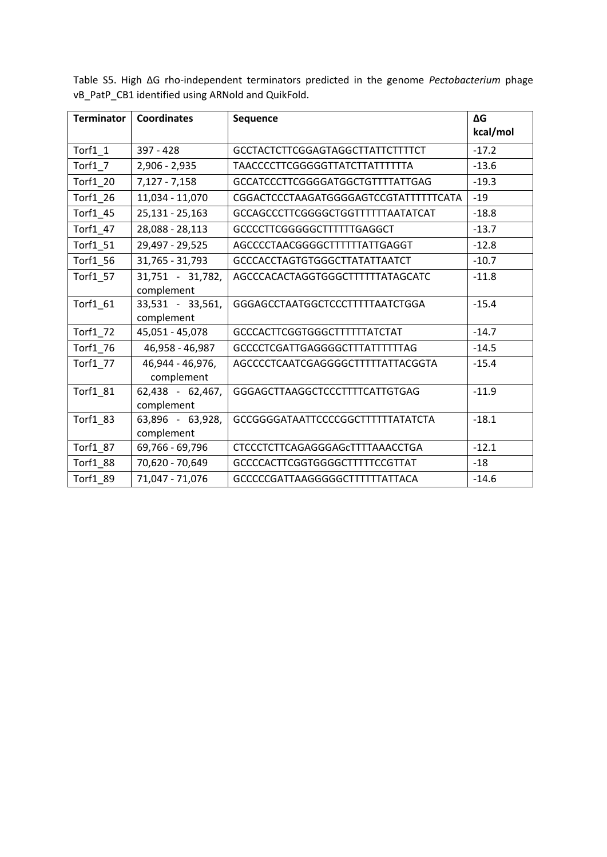| <b>Terminator</b>              | <b>Coordinates</b>             | <b>Sequence</b>                       | ΔG<br>kcal/mol |
|--------------------------------|--------------------------------|---------------------------------------|----------------|
| $Torf1_1$                      | $397 - 428$                    | GCCTACTCTTCGGAGTAGGCTTATTCTTTTCT      | $-17.2$        |
| Torf $1\overline{\phantom{1}}$ | $2,906 - 2,935$                | <b>TAACCCCTTCGGGGGTTATCTTATTTTTTA</b> | $-13.6$        |
| Torf1_20                       | $7,127 - 7,158$                | GCCATCCCTTCGGGGATGGCTGTTTTATTGAG      | $-19.3$        |
| Torf1 26                       | 11,034 - 11,070                | CGGACTCCCTAAGATGGGGAGTCCGTATTTTTTCATA | $-19$          |
| Torf1_45                       | 25,131 - 25,163                | GCCAGCCCTTCGGGGCTGGTTTTTTAATATCAT     | $-18.8$        |
| Torf1_47                       | 28,088 - 28,113                | GCCCCTTCGGGGGCTTTTTTGAGGCT            | $-13.7$        |
| Torf1_51                       | 29,497 - 29,525                | AGCCCCTAACGGGGCTTTTTTATTGAGGT         | $-12.8$        |
| Torf1_56                       | 31,765 - 31,793                | <b>GCCCACCTAGTGTGGGCTTATATTAATCT</b>  | $-10.7$        |
| Torf1_57                       | 31,751 - 31,782,<br>complement | AGCCCACACTAGGTGGGCTTTTTTATAGCATC      | $-11.8$        |
| Torf1_61                       | 33,531 - 33,561,<br>complement | GGGAGCCTAATGGCTCCCTTTTTAATCTGGA       | $-15.4$        |
| Torf1_72                       | 45,051 - 45,078                | <b>GCCCACTTCGGTGGGCTTTTTTATCTAT</b>   | $-14.7$        |
| Torf1_76                       | 46,958 - 46,987                | <b>GCCCCTCGATTGAGGGGCTTTATTTTTTAG</b> | $-14.5$        |
| Torf1_77                       | 46,944 - 46,976,<br>complement | AGCCCCTCAATCGAGGGGCTTTTTATTACGGTA     | $-15.4$        |
| Torf1_81                       | 62,438 - 62,467,<br>complement | GGGAGCTTAAGGCTCCCTTTTCATTGTGAG        | $-11.9$        |
| Torf1_83                       | 63,896 - 63,928,<br>complement | GCCGGGGATAATTCCCCGGCTTTTTTATATCTA     | $-18.1$        |
| Torf1_87                       | 69,766 - 69,796                | CTCCCTCTTCAGAGGGAGCTTTTAAACCTGA       | $-12.1$        |
| Torf1_88                       | 70,620 - 70,649                | GCCCCACTTCGGTGGGGCTTTTTCCGTTAT        | $-18$          |
| Torf1 89                       | 71,047 - 71,076                | GCCCCCGATTAAGGGGGCTTTTTTATTACA        | $-14.6$        |

Table S5. High ΔG rho‐independent terminators predicted in the genome *Pectobacterium* phage vB\_PatP\_CB1 identified using ARNold and QuikFold.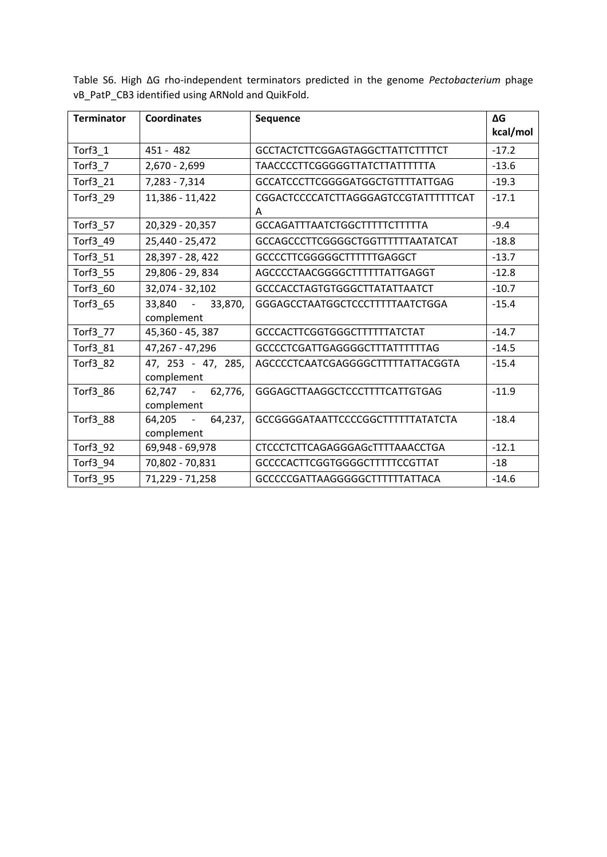| <b>Terminator</b> | <b>Coordinates</b>                | <b>Sequence</b>                           | ΔG<br>kcal/mol |
|-------------------|-----------------------------------|-------------------------------------------|----------------|
| Torf $3_1$        | $451 - 482$                       | <b>GCCTACTCTTCGGAGTAGGCTTATTCTTTTCT</b>   | $-17.2$        |
| Torf $3-$ 7       | $2,670 - 2,699$                   | TAACCCCTTCGGGGGTTATCTTATTTTTTA            | $-13.6$        |
| Torf3_21          | 7,283 - 7,314                     | GCCATCCCTTCGGGGATGGCTGTTTTATTGAG          | $-19.3$        |
| Torf3_29          | 11,386 - 11,422                   | CGGACTCCCCATCTTAGGGAGTCCGTATTTTTTCAT<br>A | $-17.1$        |
| Torf3_57          | 20,329 - 20,357                   | <b>GCCAGATTTAATCTGGCTTTTTCTTTTTA</b>      | $-9.4$         |
| Torf3_49          | 25,440 - 25,472                   | GCCAGCCCTTCGGGGCTGGTTTTTTAATATCAT         | $-18.8$        |
| Torf3_51          | 28,397 - 28,422                   | GCCCCTTCGGGGGCTTTTTTGAGGCT                | $-13.7$        |
| Torf3_55          | 29,806 - 29,834                   | AGCCCCTAACGGGGCTTTTTTATTGAGGT             | $-12.8$        |
| Torf3_60          | 32,074 - 32,102                   | <b>GCCCACCTAGTGTGGGCTTATATTAATCT</b>      | $-10.7$        |
| Torf3_65          | 33,840 -<br>33,870,<br>complement | GGGAGCCTAATGGCTCCCTTTTTAATCTGGA           | $-15.4$        |
| Torf3_77          | 45,360 - 45,387                   | <b>GCCCACTTCGGTGGGCTTTTTTATCTAT</b>       | $-14.7$        |
| Torf3_81          | 47,267 - 47,296                   | <b>GCCCCTCGATTGAGGGGCTTTATTTTTTAG</b>     | $-14.5$        |
| Torf3_82          | 47, 253 - 47, 285,<br>complement  | AGCCCCTCAATCGAGGGGCTTTTTATTACGGTA         | $-15.4$        |
| Torf3_86          | 62,747 - 62,776,<br>complement    | GGGAGCTTAAGGCTCCCTTTTCATTGTGAG            | $-11.9$        |
| Torf3_88          | 64,205 -<br>64,237,<br>complement | GCCGGGGATAATTCCCCGGCTTTTTTATATCTA         | $-18.4$        |
| Torf3_92          | 69,948 - 69,978                   | CTCCCTCTTCAGAGGGAGCTTTTAAACCTGA           | $-12.1$        |
| Torf3_94          | 70,802 - 70,831                   | GCCCCACTTCGGTGGGGCTTTTTCCGTTAT            | $-18$          |
| Torf3_95          | 71,229 - 71,258                   | GCCCCCGATTAAGGGGGCTTTTTTATTACA            | $-14.6$        |

Table S6. High ΔG rho‐independent terminators predicted in the genome *Pectobacterium* phage vB\_PatP\_CB3 identified using ARNold and QuikFold.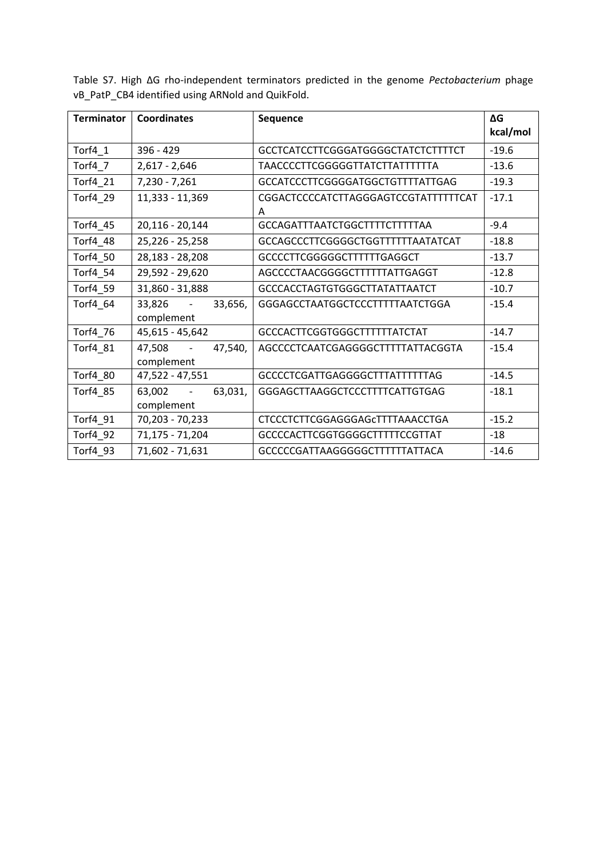| <b>Terminator</b> | <b>Coordinates</b>                            | <b>Sequence</b>                           | ΔG<br>kcal/mol |
|-------------------|-----------------------------------------------|-------------------------------------------|----------------|
| Torf4_1           | 396 - 429                                     | GCCTCATCCTTCGGGATGGGGCTATCTCTTTTCT        | $-19.6$        |
| Torf4_7           | $2,617 - 2,646$                               | <b>TAACCCCTTCGGGGGTTATCTTATTTTTTA</b>     | $-13.6$        |
| Torf4_21          | 7,230 - 7,261                                 | GCCATCCCTTCGGGGATGGCTGTTTTATTGAG          | $-19.3$        |
| Torf4_29          | 11,333 - 11,369                               | CGGACTCCCCATCTTAGGGAGTCCGTATTTTTTCAT<br>A | $-17.1$        |
| Torf4_45          | 20,116 - 20,144                               | GCCAGATTTAATCTGGCTTTTCTTTTTAA             | $-9.4$         |
| Torf4_48          | 25,226 - 25,258                               | GCCAGCCCTTCGGGGCTGGTTTTTTAATATCAT         | $-18.8$        |
| Torf4_50          | 28,183 - 28,208                               | GCCCCTTCGGGGGCTTTTTTGAGGCT                | $-13.7$        |
| Torf4_54          | 29,592 - 29,620                               | AGCCCCTAACGGGGCTTTTTTATTGAGGT             | $-12.8$        |
| Torf4_59          | 31,860 - 31,888                               | <b>GCCCACCTAGTGTGGGCTTATATTAATCT</b>      | $-10.7$        |
| Torf4 64          | 33,826 -<br>33,656,<br>complement             | GGGAGCCTAATGGCTCCCTTTTTAATCTGGA           | $-15.4$        |
| Torf4_76          | 45,615 - 45,642                               | <b>GCCCACTTCGGTGGGCTTTTTTATCTAT</b>       | $-14.7$        |
| Torf4_81          | 47,508<br>47,540,<br>$\sim$ $-$<br>complement | AGCCCCTCAATCGAGGGGCTTTTTATTACGGTA         | $-15.4$        |
| Torf4_80          | 47,522 - 47,551                               | <b>GCCCCTCGATTGAGGGGCTTTATTTTTTAG</b>     | $-14.5$        |
| Torf4_85          | $63,002 - 5$<br>63,031,<br>complement         | GGGAGCTTAAGGCTCCCTTTTCATTGTGAG            | $-18.1$        |
| Torf4_91          | 70,203 - 70,233                               | <b>CTCCCTCTTCGGAGGGAGCTTTTAAACCTGA</b>    | $-15.2$        |
| Torf4_92          | 71,175 - 71,204                               | GCCCCACTTCGGTGGGGCTTTTTCCGTTAT            | $-18$          |
| Torf4 93          | 71,602 - 71,631                               | GCCCCCGATTAAGGGGGCTTTTTTATTACA            | $-14.6$        |

Table S7. High ΔG rho‐independent terminators predicted in the genome *Pectobacterium* phage vB\_PatP\_CB4 identified using ARNold and QuikFold.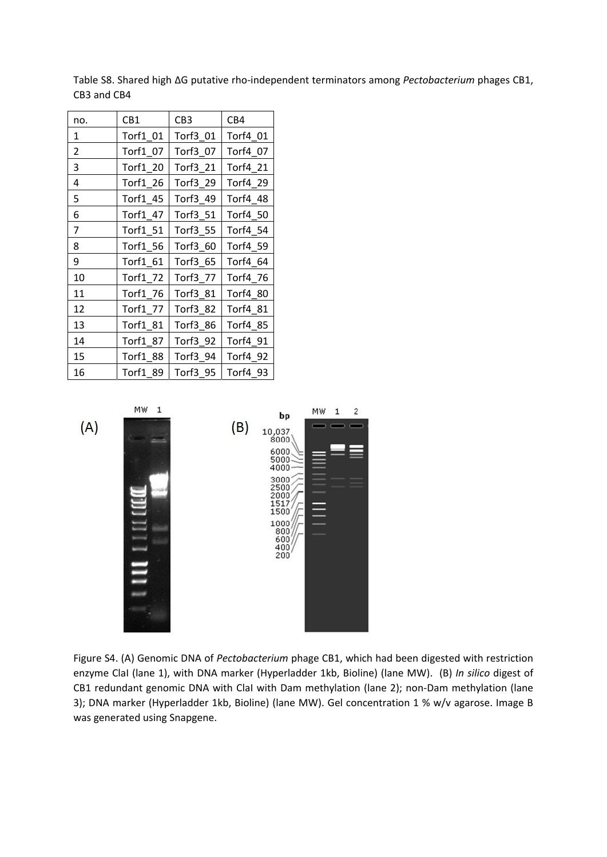Table S8. Shared high ΔG putative rho‐independent terminators among *Pectobacterium* phages CB1, CB3 and CB4

| no. | CB1             | CB <sub>3</sub> | CB4      |
|-----|-----------------|-----------------|----------|
| 1   | Torf1_01        | Torf3_01        | Torf4 01 |
| 2   | Torf1 07        | Torf3 07        | Torf4 07 |
| 3   | <b>Torf1 20</b> | Torf3_21        | Torf4 21 |
| 4   | Torf1_26        | Torf3 29        | Torf4 29 |
| 5   | Torf1 45        | Torf3 49        | Torf4 48 |
| 6   | Torf1 47        | Torf3 51        | Torf4 50 |
| 7   | Torf1_51        | Torf3_55        | Torf4 54 |
| 8   | Torf1 56        | Torf3 60        | Torf4 59 |
| 9   | Torf1 61        | Torf3_65        | Torf4 64 |
| 10  | Torf1_72        | Torf3 77        | Torf4 76 |
| 11  | Torf1_76        | Torf3_81        | Torf4 80 |
| 12  | Torf1 77        | Torf3 82        | Torf4 81 |
| 13  | Torf1 81        | Torf3 86        | Torf4 85 |
| 14  | Torf1 87        | Torf3 92        | Torf4 91 |
| 15  | <b>Torf1 88</b> | Torf3_94        | Torf4 92 |
| 16  | Torf1 89        | Torf3 95        | Torf4 93 |



Figure S4. (A) Genomic DNA of *Pectobacterium* phage CB1, which had been digested with restriction enzyme ClaI (lane 1), with DNA marker (Hyperladder 1kb, Bioline) (lane MW).(B) *In silico* digest of CB1 redundant genomic DNA with ClaI with Dam methylation (lane 2); non‐Dam methylation (lane 3); DNA marker (Hyperladder 1kb, Bioline) (lane MW). Gel concentration 1 % w/v agarose. Image B was generated using Snapgene.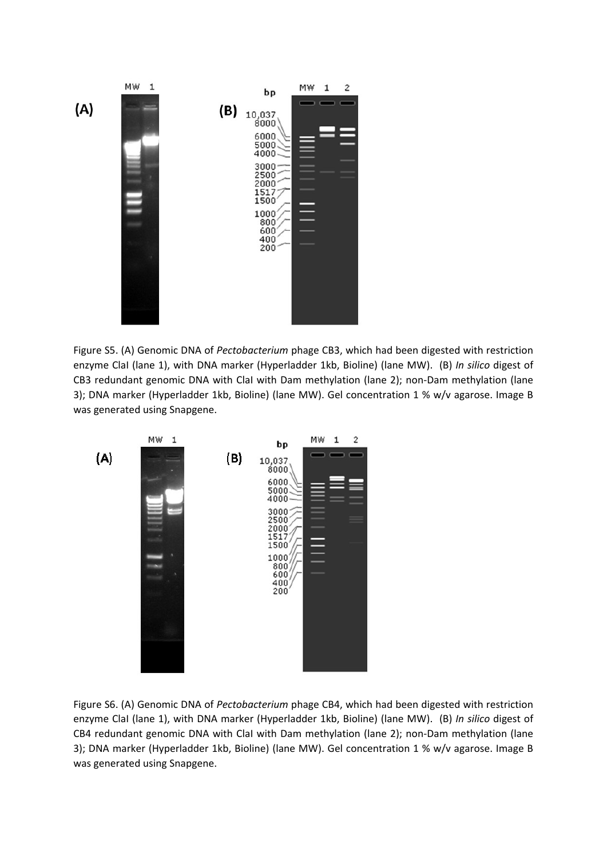

Figure S5. (A) Genomic DNA of *Pectobacterium* phage CB3, which had been digested with restriction enzyme ClaI (lane 1), with DNA marker (Hyperladder 1kb, Bioline) (lane MW).(B) *In silico* digest of CB3 redundant genomic DNA with ClaI with Dam methylation (lane 2); non‐Dam methylation (lane 3); DNA marker (Hyperladder 1kb, Bioline) (lane MW). Gel concentration 1 % w/v agarose. Image B was generated using Snapgene.



Figure S6. (A) Genomic DNA of *Pectobacterium* phage CB4, which had been digested with restriction enzyme ClaI (lane 1), with DNA marker (Hyperladder 1kb, Bioline) (lane MW).(B) *In silico* digest of CB4 redundant genomic DNA with ClaI with Dam methylation (lane 2); non‐Dam methylation (lane 3); DNA marker (Hyperladder 1kb, Bioline) (lane MW). Gel concentration 1 % w/v agarose. Image B was generated using Snapgene.